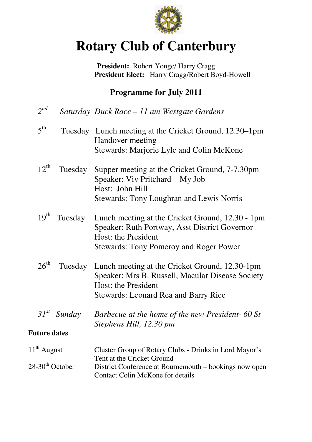

# **Rotary Club of Canterbury**

**President:** Robert Yonge/ Harry Cragg  **President Elect:** Harry Cragg/Robert Boyd-Howell

# **Programme for July 2011**

| $2^{nd}$                      |                          | Saturday Duck Race - 11 am Westgate Gardens                                                                                                                               |
|-------------------------------|--------------------------|---------------------------------------------------------------------------------------------------------------------------------------------------------------------------|
| $5^{\text{th}}$               |                          | Tuesday Lunch meeting at the Cricket Ground, 12.30–1pm<br>Handover meeting<br>Stewards: Marjorie Lyle and Colin McKone                                                    |
| $12^{th}$                     | Tuesday                  | Supper meeting at the Cricket Ground, 7-7.30pm<br>Speaker: Viv Pritchard - My Job<br>Host: John Hill<br><b>Stewards: Tony Loughran and Lewis Norris</b>                   |
|                               | 19 <sup>th</sup> Tuesday | Lunch meeting at the Cricket Ground, 12.30 - 1pm<br>Speaker: Ruth Portway, Asst District Governor<br>Host: the President<br><b>Stewards: Tony Pomeroy and Roger Power</b> |
| $26^{\text{th}}$              | Tuesday                  | Lunch meeting at the Cricket Ground, 12.30-1pm<br>Speaker: Mrs B. Russell, Macular Disease Society<br>Host: the President<br><b>Stewards: Leonard Rea and Barry Rice</b>  |
|                               | $31^{st}$ Sunday         | Barbecue at the home of the new President-60 St<br>Stephens Hill, 12.30 pm                                                                                                |
| <b>Future dates</b>           |                          |                                                                                                                                                                           |
| $11^{th}$ August              |                          | Cluster Group of Rotary Clubs - Drinks in Lord Mayor's<br>Tent at the Cricket Ground                                                                                      |
| $28-30$ <sup>th</sup> October |                          | District Conference at Bournemouth – bookings now open<br><b>Contact Colin McKone for details</b>                                                                         |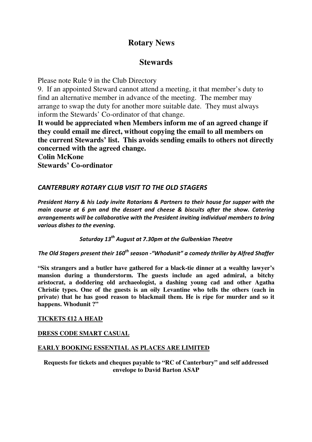# **Rotary News**

# **Stewards**

Please note Rule 9 in the Club Directory

9. If an appointed Steward cannot attend a meeting, it that member's duty to find an alternative member in advance of the meeting. The member may arrange to swap the duty for another more suitable date. They must always inform the Stewards' Co-ordinator of that change.

**It would be appreciated when Members inform me of an agreed change if they could email me direct, without copying the email to all members on the current Stewards' list. This avoids sending emails to others not directly concerned with the agreed change.** 

**Colin McKone** 

**Stewards' Co-ordinator** 

## CANTERBURY ROTARY CLUB VISIT TO THE OLD STAGERS

President Harry & his Lady invite Rotarians & Partners to their house for supper with the main course at 6 pm and the dessert and cheese & biscuits after the show. Catering arrangements will be collaborative with the President inviting individual members to bring various dishes to the evening.

Saturday 13<sup>th</sup> August at 7.30pm at the Gulbenkian Theatre

The Old Stagers present their 160<sup>th</sup> season -"Whodunit" a comedy thriller by Alfred Shaffer

**"Six strangers and a butler have gathered for a black-tie dinner at a wealthy lawyer's mansion during a thunderstorm. The guests include an aged admiral, a bitchy aristocrat, a doddering old archaeologist, a dashing young cad and other Agatha Christie types. One of the guests is an oily Levantine who tells the others (each in private) that he has good reason to blackmail them. He is ripe for murder and so it happens. Whodunit ?"** 

#### **TICKETS £12 A HEAD**

### **DRESS CODE SMART CASUAL**

#### **EARLY BOOKING ESSENTIAL AS PLACES ARE LIMITED**

**Requests for tickets and cheques payable to "RC of Canterbury" and self addressed envelope to David Barton ASAP**